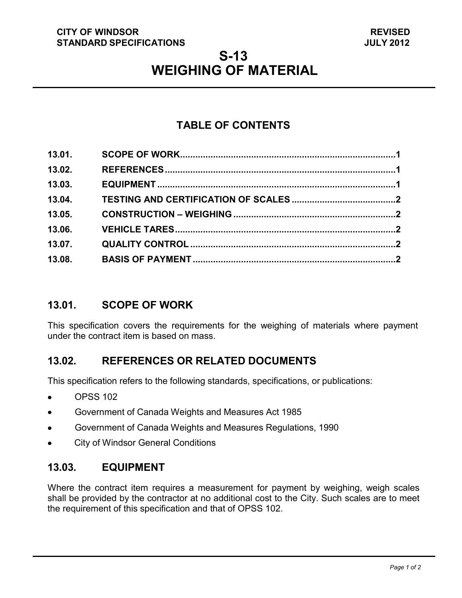#### **CITY OF WINDSOR STANDARD SPECIFICATIONS**

# **S-13 WEIGHING OF MATERIAL**

# **TABLE OF CONTENTS**

| 13.01. |  |
|--------|--|
| 13.02. |  |
| 13.03. |  |
| 13.04. |  |
| 13.05. |  |
| 13.06. |  |
| 13.07. |  |
| 13.08. |  |

#### <span id="page-0-0"></span>**13.01. SCOPE OF WORK**

This specification covers the requirements for the weighing of materials where payment under the contract item is based on mass.

# <span id="page-0-1"></span>**13.02. REFERENCES OR RELATED DOCUMENTS**

This specification refers to the following standards, specifications, or publications:

- OPSS 102
- Government of Canada Weights and Measures Act 1985  $\bullet$
- Government of Canada Weights and Measures Regulations, 1990  $\bullet$
- City of Windsor General Conditions  $\bullet$

#### <span id="page-0-2"></span>**13.03. EQUIPMENT**

Where the contract item requires a measurement for payment by weighing, weigh scales shall be provided by the contractor at no additional cost to the City. Such scales are to meet the requirement of this specification and that of OPSS 102.